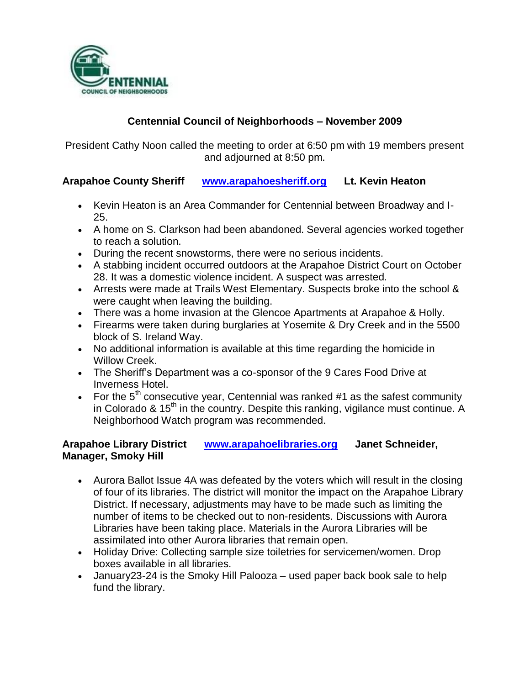

# **Centennial Council of Neighborhoods – November 2009**

President Cathy Noon called the meeting to order at 6:50 pm with 19 members present and adjourned at 8:50 pm.

# **Arapahoe County Sheriff [www.arapahoesheriff.org](http://www.arapahoesheriff.org/) Lt. Kevin Heaton**

- Kevin Heaton is an Area Commander for Centennial between Broadway and I-25.
- A home on S. Clarkson had been abandoned. Several agencies worked together to reach a solution.
- During the recent snowstorms, there were no serious incidents.
- A stabbing incident occurred outdoors at the Arapahoe District Court on October 28. It was a domestic violence incident. A suspect was arrested.
- Arrests were made at Trails West Elementary. Suspects broke into the school & were caught when leaving the building.
- There was a home invasion at the Glencoe Apartments at Arapahoe & Holly.
- Firearms were taken during burglaries at Yosemite & Dry Creek and in the 5500 block of S. Ireland Way.
- No additional information is available at this time regarding the homicide in Willow Creek.
- The Sheriff's Department was a co-sponsor of the 9 Cares Food Drive at Inverness Hotel.
- For the  $5<sup>th</sup>$  consecutive year, Centennial was ranked #1 as the safest community in Colorado &  $15<sup>th</sup>$  in the country. Despite this ranking, vigilance must continue. A Neighborhood Watch program was recommended.

# **Arapahoe Library District [www.arapahoelibraries.org](http://www.arapahoelibraries.org/) Janet Schneider, Manager, Smoky Hill**

- Aurora Ballot Issue 4A was defeated by the voters which will result in the closing of four of its libraries. The district will monitor the impact on the Arapahoe Library District. If necessary, adjustments may have to be made such as limiting the number of items to be checked out to non-residents. Discussions with Aurora Libraries have been taking place. Materials in the Aurora Libraries will be assimilated into other Aurora libraries that remain open.
- Holiday Drive: Collecting sample size toiletries for servicemen/women. Drop boxes available in all libraries.
- January23-24 is the Smoky Hill Palooza used paper back book sale to help fund the library.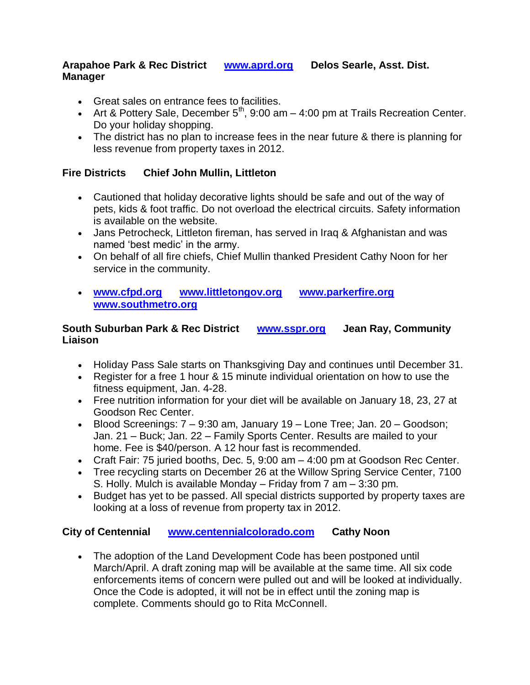### **Arapahoe Park & Rec District [www.aprd.org](http://www.aprd.org/) Delos Searle, Asst. Dist. Manager**

- Great sales on entrance fees to facilities.
- Art & Pottery Sale, December  $5<sup>th</sup>$ , 9:00 am 4:00 pm at Trails Recreation Center. Do your holiday shopping.
- The district has no plan to increase fees in the near future & there is planning for less revenue from property taxes in 2012.

### **Fire Districts Chief John Mullin, Littleton**

- Cautioned that holiday decorative lights should be safe and out of the way of pets, kids & foot traffic. Do not overload the electrical circuits. Safety information is available on the website.
- Jans Petrocheck, Littleton fireman, has served in Iraq & Afghanistan and was named 'best medic' in the army.
- On behalf of all fire chiefs, Chief Mullin thanked President Cathy Noon for her service in the community.
- **[www.cfpd.org](http://www.cfpd.org/) [www.littletongov.org](http://www.littletongov.org/) [www.parkerfire.org](http://www.parkerfire.org/)  [www.southmetro.org](http://www.southmetro.org/)**

### **South Suburban Park & Rec District [www.sspr.org](http://www.sspr.org/) Jean Ray, Community Liaison**

- Holiday Pass Sale starts on Thanksgiving Day and continues until December 31.
- Register for a free 1 hour & 15 minute individual orientation on how to use the fitness equipment, Jan. 4-28.
- Free nutrition information for your diet will be available on January 18, 23, 27 at Goodson Rec Center.
- Blood Screenings: 7 9:30 am, January 19 Lone Tree; Jan. 20 Goodson; Jan. 21 – Buck; Jan. 22 – Family Sports Center. Results are mailed to your home. Fee is \$40/person. A 12 hour fast is recommended.
- Craft Fair: 75 juried booths, Dec. 5, 9:00 am 4:00 pm at Goodson Rec Center.
- Tree recycling starts on December 26 at the Willow Spring Service Center, 7100 S. Holly. Mulch is available Monday – Friday from 7 am – 3:30 pm.
- Budget has yet to be passed. All special districts supported by property taxes are looking at a loss of revenue from property tax in 2012.

# **City of Centennial [www.centennialcolorado.com](http://www.centennialcolorado.com/) Cathy Noon**

 The adoption of the Land Development Code has been postponed until March/April. A draft zoning map will be available at the same time. All six code enforcements items of concern were pulled out and will be looked at individually. Once the Code is adopted, it will not be in effect until the zoning map is complete. Comments should go to Rita McConnell.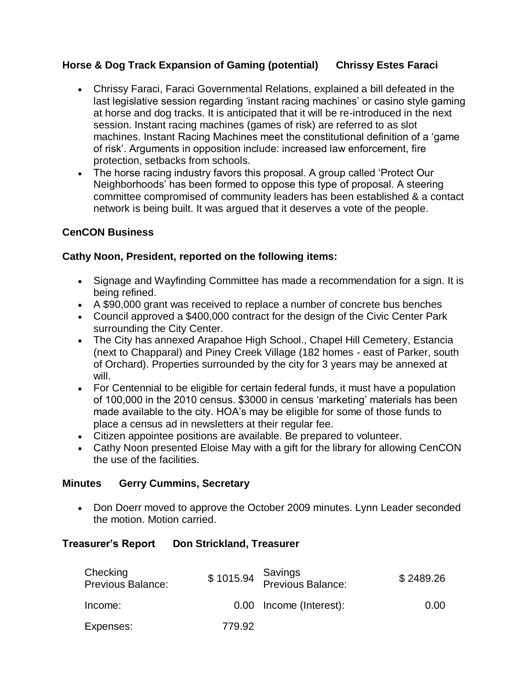# **Horse & Dog Track Expansion of Gaming (potential) Chrissy Estes Faraci**

- Chrissy Faraci, Faraci Governmental Relations, explained a bill defeated in the last legislative session regarding 'instant racing machines' or casino style gaming at horse and dog tracks. It is anticipated that it will be re-introduced in the next session. Instant racing machines (games of risk) are referred to as slot machines. Instant Racing Machines meet the constitutional definition of a 'game of risk'. Arguments in opposition include: increased law enforcement, fire protection, setbacks from schools.
- The horse racing industry favors this proposal. A group called 'Protect Our Neighborhoods' has been formed to oppose this type of proposal. A steering committee compromised of community leaders has been established & a contact network is being built. It was argued that it deserves a vote of the people.

### **CenCON Business**

#### **Cathy Noon, President, reported on the following items:**

- Signage and Wayfinding Committee has made a recommendation for a sign. It is being refined.
- A \$90,000 grant was received to replace a number of concrete bus benches
- Council approved a \$400,000 contract for the design of the Civic Center Park surrounding the City Center.
- The City has annexed Arapahoe High School., Chapel Hill Cemetery, Estancia (next to Chapparal) and Piney Creek Village (182 homes - east of Parker, south of Orchard). Properties surrounded by the city for 3 years may be annexed at will.
- For Centennial to be eligible for certain federal funds, it must have a population of 100,000 in the 2010 census. \$3000 in census 'marketing' materials has been made available to the city. HOA's may be eligible for some of those funds to place a census ad in newsletters at their regular fee.
- Citizen appointee positions are available. Be prepared to volunteer.
- Cathy Noon presented Eloise May with a gift for the library for allowing CenCON the use of the facilities.

#### **Minutes Gerry Cummins, Secretary**

• Don Doerr moved to approve the October 2009 minutes. Lynn Leader seconded the motion. Motion carried.

#### **Treasurer's Report Don Strickland, Treasurer**

| Checking<br>Previous Balance: |        | Savings<br>\$1015.94 Previous Balance: | \$2489.26 |
|-------------------------------|--------|----------------------------------------|-----------|
| Income:                       |        | 0.00 Income (Interest):                | 0.00      |
| Expenses:                     | 779.92 |                                        |           |